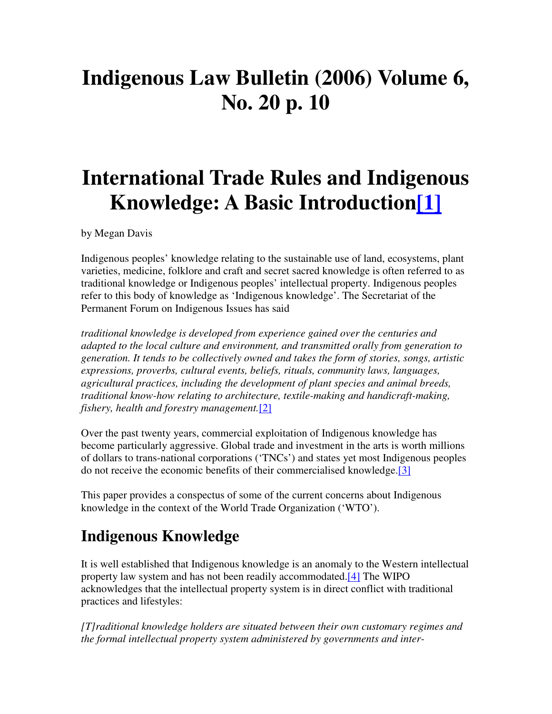# **Indigenous Law Bulletin (2006) Volume 6, No. 20 p. 10**

# **International Trade Rules and Indigenous Knowledge: A Basic Introduction[1]**

by Megan Davis

Indigenous peoples' knowledge relating to the sustainable use of land, ecosystems, plant varieties, medicine, folklore and craft and secret sacred knowledge is often referred to as traditional knowledge or Indigenous peoples' intellectual property. Indigenous peoples refer to this body of knowledge as 'Indigenous knowledge'. The Secretariat of the Permanent Forum on Indigenous Issues has said

*traditional knowledge is developed from experience gained over the centuries and adapted to the local culture and environment, and transmitted orally from generation to generation. It tends to be collectively owned and takes the form of stories, songs, artistic expressions, proverbs, cultural events, beliefs, rituals, community laws, languages, agricultural practices, including the development of plant species and animal breeds, traditional know-how relating to architecture, textile-making and handicraft-making, fishery, health and forestry management.*[2]

Over the past twenty years, commercial exploitation of Indigenous knowledge has become particularly aggressive. Global trade and investment in the arts is worth millions of dollars to trans-national corporations ('TNCs') and states yet most Indigenous peoples do not receive the economic benefits of their commercialised knowledge.[3]

This paper provides a conspectus of some of the current concerns about Indigenous knowledge in the context of the World Trade Organization ('WTO').

## **Indigenous Knowledge**

It is well established that Indigenous knowledge is an anomaly to the Western intellectual property law system and has not been readily accommodated.[4] The WIPO acknowledges that the intellectual property system is in direct conflict with traditional practices and lifestyles:

*[T]raditional knowledge holders are situated between their own customary regimes and the formal intellectual property system administered by governments and inter-*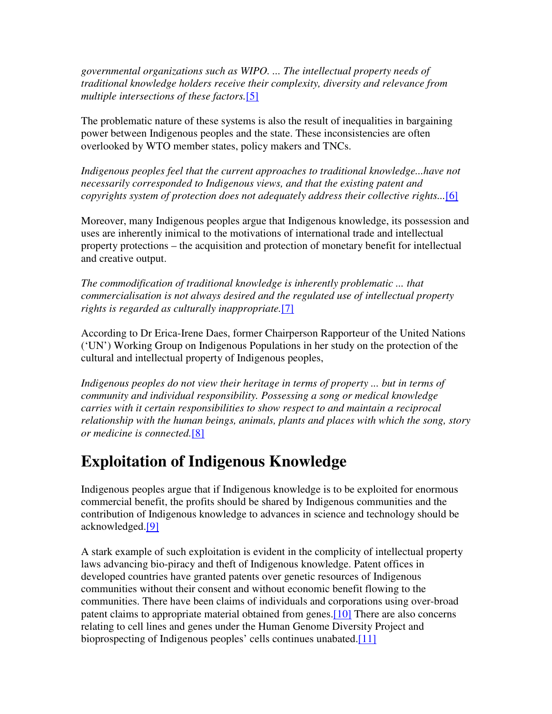*governmental organizations such as WIPO. ... The intellectual property needs of traditional knowledge holders receive their complexity, diversity and relevance from multiple intersections of these factors.*[5]

The problematic nature of these systems is also the result of inequalities in bargaining power between Indigenous peoples and the state. These inconsistencies are often overlooked by WTO member states, policy makers and TNCs.

*Indigenous peoples feel that the current approaches to traditional knowledge...have not necessarily corresponded to Indigenous views, and that the existing patent and copyrights system of protection does not adequately address their collective rights...*[6]

Moreover, many Indigenous peoples argue that Indigenous knowledge, its possession and uses are inherently inimical to the motivations of international trade and intellectual property protections – the acquisition and protection of monetary benefit for intellectual and creative output.

*The commodification of traditional knowledge is inherently problematic ... that commercialisation is not always desired and the regulated use of intellectual property rights is regarded as culturally inappropriate.*[7]

According to Dr Erica-Irene Daes, former Chairperson Rapporteur of the United Nations ('UN') Working Group on Indigenous Populations in her study on the protection of the cultural and intellectual property of Indigenous peoples,

*Indigenous peoples do not view their heritage in terms of property ... but in terms of community and individual responsibility. Possessing a song or medical knowledge carries with it certain responsibilities to show respect to and maintain a reciprocal relationship with the human beings, animals, plants and places with which the song, story or medicine is connected.*[8]

#### **Exploitation of Indigenous Knowledge**

Indigenous peoples argue that if Indigenous knowledge is to be exploited for enormous commercial benefit, the profits should be shared by Indigenous communities and the contribution of Indigenous knowledge to advances in science and technology should be acknowledged.[9]

A stark example of such exploitation is evident in the complicity of intellectual property laws advancing bio-piracy and theft of Indigenous knowledge. Patent offices in developed countries have granted patents over genetic resources of Indigenous communities without their consent and without economic benefit flowing to the communities. There have been claims of individuals and corporations using over-broad patent claims to appropriate material obtained from genes.<sup>[10]</sup> There are also concerns relating to cell lines and genes under the Human Genome Diversity Project and bioprospecting of Indigenous peoples' cells continues unabated.[11]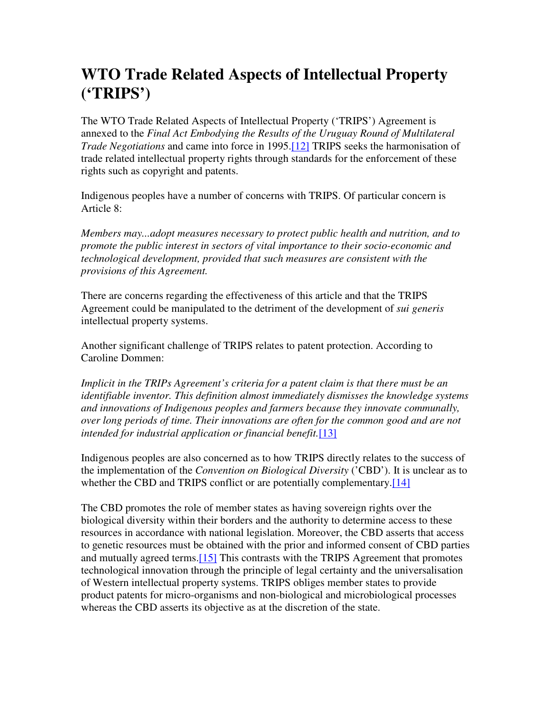#### **WTO Trade Related Aspects of Intellectual Property ('TRIPS')**

The WTO Trade Related Aspects of Intellectual Property ('TRIPS') Agreement is annexed to the *Final Act Embodying the Results of the Uruguay Round of Multilateral Trade Negotiations* and came into force in 1995.[12] TRIPS seeks the harmonisation of trade related intellectual property rights through standards for the enforcement of these rights such as copyright and patents.

Indigenous peoples have a number of concerns with TRIPS. Of particular concern is Article 8:

*Members may...adopt measures necessary to protect public health and nutrition, and to promote the public interest in sectors of vital importance to their socio-economic and technological development, provided that such measures are consistent with the provisions of this Agreement.*

There are concerns regarding the effectiveness of this article and that the TRIPS Agreement could be manipulated to the detriment of the development of *sui generis* intellectual property systems.

Another significant challenge of TRIPS relates to patent protection. According to Caroline Dommen:

*Implicit in the TRIPs Agreement's criteria for a patent claim is that there must be an identifiable inventor. This definition almost immediately dismisses the knowledge systems and innovations of Indigenous peoples and farmers because they innovate communally, over long periods of time. Their innovations are often for the common good and are not intended for industrial application or financial benefit.*[13]

Indigenous peoples are also concerned as to how TRIPS directly relates to the success of the implementation of the *Convention on Biological Diversity* ('CBD'). It is unclear as to whether the CBD and TRIPS conflict or are potentially complementary.<sup>[14]</sup>

The CBD promotes the role of member states as having sovereign rights over the biological diversity within their borders and the authority to determine access to these resources in accordance with national legislation. Moreover, the CBD asserts that access to genetic resources must be obtained with the prior and informed consent of CBD parties and mutually agreed terms.[15] This contrasts with the TRIPS Agreement that promotes technological innovation through the principle of legal certainty and the universalisation of Western intellectual property systems. TRIPS obliges member states to provide product patents for micro-organisms and non-biological and microbiological processes whereas the CBD asserts its objective as at the discretion of the state.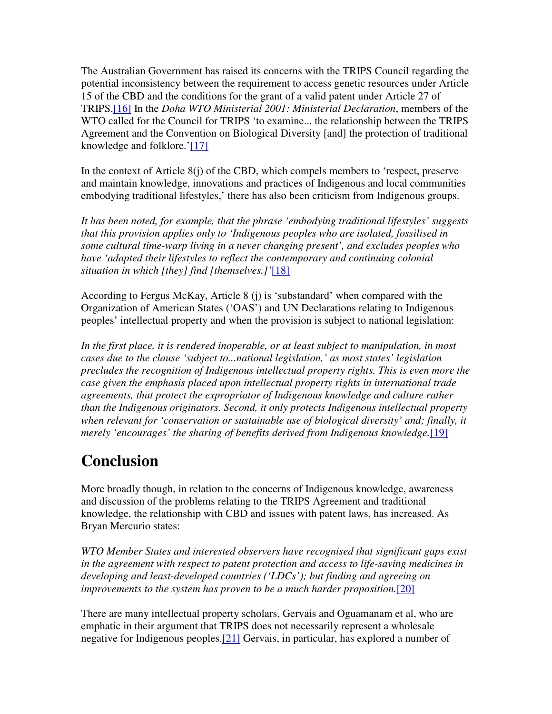The Australian Government has raised its concerns with the TRIPS Council regarding the potential inconsistency between the requirement to access genetic resources under Article 15 of the CBD and the conditions for the grant of a valid patent under Article 27 of TRIPS.[16] In the *Doha WTO Ministerial 2001: Ministerial Declaration*, members of the WTO called for the Council for TRIPS 'to examine... the relationship between the TRIPS Agreement and the Convention on Biological Diversity [and] the protection of traditional knowledge and folklore.'[17]

In the context of Article  $8(i)$  of the CBD, which compels members to 'respect, preserve and maintain knowledge, innovations and practices of Indigenous and local communities embodying traditional lifestyles,' there has also been criticism from Indigenous groups.

*It has been noted, for example, that the phrase 'embodying traditional lifestyles' suggests that this provision applies only to 'Indigenous peoples who are isolated, fossilised in some cultural time-warp living in a never changing present', and excludes peoples who have 'adapted their lifestyles to reflect the contemporary and continuing colonial situation in which [they] find [themselves.]'*[18]

According to Fergus McKay, Article 8 (j) is 'substandard' when compared with the Organization of American States ('OAS') and UN Declarations relating to Indigenous peoples' intellectual property and when the provision is subject to national legislation:

*In the first place, it is rendered inoperable, or at least subject to manipulation, in most cases due to the clause 'subject to...national legislation,' as most states' legislation precludes the recognition of Indigenous intellectual property rights. This is even more the case given the emphasis placed upon intellectual property rights in international trade agreements, that protect the expropriator of Indigenous knowledge and culture rather than the Indigenous originators. Second, it only protects Indigenous intellectual property when relevant for 'conservation or sustainable use of biological diversity' and; finally, it merely 'encourages' the sharing of benefits derived from Indigenous knowledge.*[19]

## **Conclusion**

More broadly though, in relation to the concerns of Indigenous knowledge, awareness and discussion of the problems relating to the TRIPS Agreement and traditional knowledge, the relationship with CBD and issues with patent laws, has increased. As Bryan Mercurio states:

*WTO Member States and interested observers have recognised that significant gaps exist in the agreement with respect to patent protection and access to life-saving medicines in developing and least-developed countries ('LDCs'); but finding and agreeing on improvements to the system has proven to be a much harder proposition.*[20]

There are many intellectual property scholars, Gervais and Oguamanam et al, who are emphatic in their argument that TRIPS does not necessarily represent a wholesale negative for Indigenous peoples.[21] Gervais, in particular, has explored a number of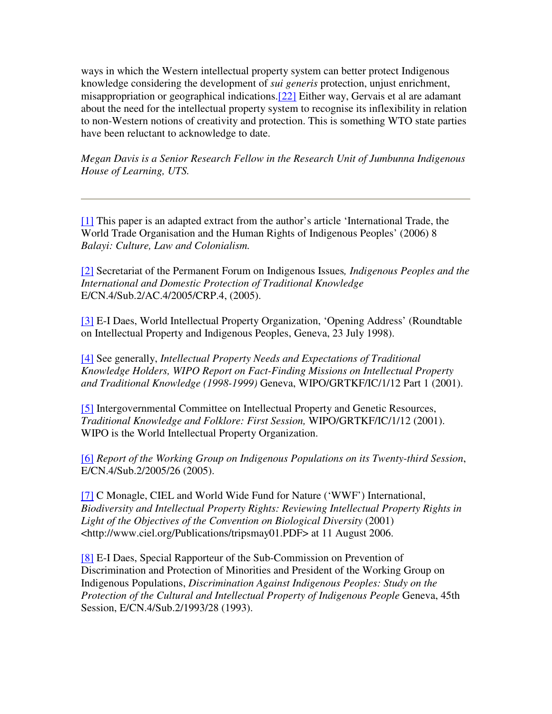ways in which the Western intellectual property system can better protect Indigenous knowledge considering the development of *sui generis* protection, unjust enrichment, misappropriation or geographical indications.[22] Either way, Gervais et al are adamant about the need for the intellectual property system to recognise its inflexibility in relation to non-Western notions of creativity and protection. This is something WTO state parties have been reluctant to acknowledge to date.

*Megan Davis is a Senior Research Fellow in the Research Unit of Jumbunna Indigenous House of Learning, UTS.*

[1] This paper is an adapted extract from the author's article 'International Trade, the World Trade Organisation and the Human Rights of Indigenous Peoples' (2006) 8 *Balayi: Culture, Law and Colonialism.*

[2] Secretariat of the Permanent Forum on Indigenous Issues*, Indigenous Peoples and the International and Domestic Protection of Traditional Knowledge* E/CN.4/Sub.2/AC.4/2005/CRP.4, (2005).

[3] E-I Daes, World Intellectual Property Organization, 'Opening Address' (Roundtable on Intellectual Property and Indigenous Peoples, Geneva, 23 July 1998).

[4] See generally, *Intellectual Property Needs and Expectations of Traditional Knowledge Holders, WIPO Report on Fact-Finding Missions on Intellectual Property and Traditional Knowledge (1998-1999)* Geneva, WIPO/GRTKF/IC/1/12 Part 1 (2001).

[5] Intergovernmental Committee on Intellectual Property and Genetic Resources, *Traditional Knowledge and Folklore: First Session,* WIPO/GRTKF/IC/1/12 (2001). WIPO is the World Intellectual Property Organization.

[6] *Report of the Working Group on Indigenous Populations on its Twenty-third Session*, E/CN.4/Sub.2/2005/26 (2005).

[7] C Monagle, CIEL and World Wide Fund for Nature ('WWF') International, *Biodiversity and Intellectual Property Rights: Reviewing Intellectual Property Rights in Light of the Objectives of the Convention on Biological Diversity* (2001) <http://www.ciel.org/Publications/tripsmay01.PDF> at 11 August 2006.

[8] E-I Daes, Special Rapporteur of the Sub-Commission on Prevention of Discrimination and Protection of Minorities and President of the Working Group on Indigenous Populations, *Discrimination Against Indigenous Peoples: Study on the Protection of the Cultural and Intellectual Property of Indigenous People* Geneva, 45th Session, E/CN.4/Sub.2/1993/28 (1993).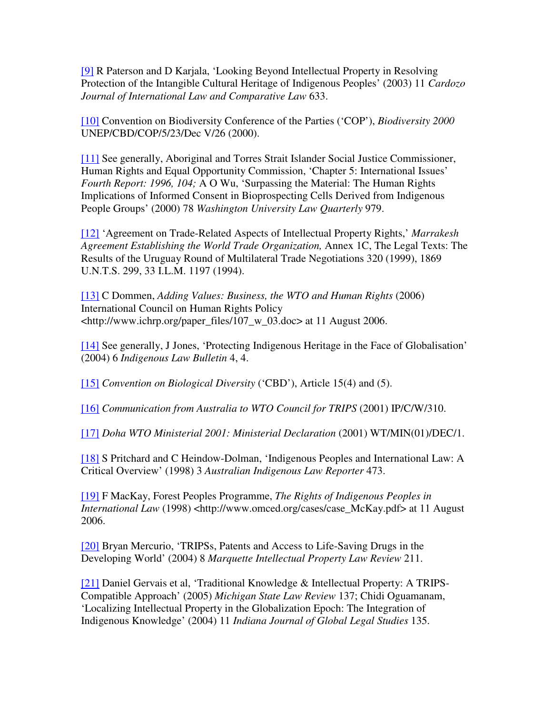[9] R Paterson and D Karjala, 'Looking Beyond Intellectual Property in Resolving Protection of the Intangible Cultural Heritage of Indigenous Peoples' (2003) 11 *Cardozo Journal of International Law and Comparative Law* 633.

[10] Convention on Biodiversity Conference of the Parties ('COP'), *Biodiversity 2000* UNEP/CBD/COP/5/23/Dec V/26 (2000).

[11] See generally, Aboriginal and Torres Strait Islander Social Justice Commissioner, Human Rights and Equal Opportunity Commission, 'Chapter 5: International Issues' *Fourth Report: 1996, 104;* A O Wu, 'Surpassing the Material: The Human Rights Implications of Informed Consent in Bioprospecting Cells Derived from Indigenous People Groups' (2000) 78 *Washington University Law Quarterly* 979.

[12] 'Agreement on Trade-Related Aspects of Intellectual Property Rights,' *Marrakesh Agreement Establishing the World Trade Organization,* Annex 1C, The Legal Texts: The Results of the Uruguay Round of Multilateral Trade Negotiations 320 (1999), 1869 U.N.T.S. 299, 33 I.L.M. 1197 (1994).

[13] C Dommen, *Adding Values: Business, the WTO and Human Rights* (2006) International Council on Human Rights Policy <http://www.ichrp.org/paper\_files/107\_w\_03.doc> at 11 August 2006.

[14] See generally, J Jones, 'Protecting Indigenous Heritage in the Face of Globalisation' (2004) 6 *Indigenous Law Bulletin* 4, 4.

[15] *Convention on Biological Diversity* ('CBD'), Article 15(4) and (5).

[16] *Communication from Australia to WTO Council for TRIPS* (2001) IP/C/W/310.

[17] *Doha WTO Ministerial 2001: Ministerial Declaration* (2001) WT/MIN(01)/DEC/1.

[18] S Pritchard and C Heindow-Dolman, 'Indigenous Peoples and International Law: A Critical Overview' (1998) 3 *Australian Indigenous Law Reporter* 473.

[19] F MacKay, Forest Peoples Programme, *The Rights of Indigenous Peoples in International Law* (1998) <http://www.omced.org/cases/case\_McKay.pdf> at 11 August 2006.

[20] Bryan Mercurio, 'TRIPSs, Patents and Access to Life-Saving Drugs in the Developing World' (2004) 8 *Marquette Intellectual Property Law Review* 211.

[21] Daniel Gervais et al, 'Traditional Knowledge & Intellectual Property: A TRIPS-Compatible Approach' (2005) *Michigan State Law Review* 137; Chidi Oguamanam, 'Localizing Intellectual Property in the Globalization Epoch: The Integration of Indigenous Knowledge' (2004) 11 *Indiana Journal of Global Legal Studies* 135.